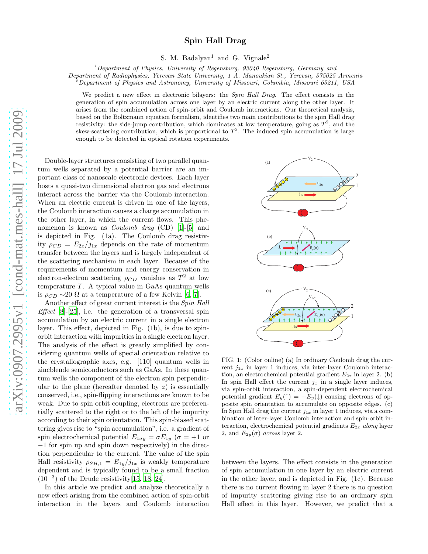## Spin Hall Drag

S. M. Badalyan<sup>1</sup> and G. Vignale<sup>2</sup>

<sup>1</sup>Department of Physics, University of Regensburg, 93040 Regensburg, Germany and

Department of Radiophysics, Yerevan State University, 1 A. Manoukian St., Yerevan, 375025 Armenia

 $^{2}$ Department of Physics and Astronomy, University of Missouri, Columbia, Missouri 65211, USA

We predict a new effect in electronic bilayers: the *Spin Hall Drag*. The effect consists in the generation of spin accumulation across one layer by an electric current along the other layer. It arises from the combined action of spin-orbit and Coulomb interactions. Our theoretical analysis, based on the Boltzmann equation formalism, identifies two main contributions to the spin Hall drag resistivity: the side-jump contribution, which dominates at low temperature, going as  $T^2$ , and the skew-scattering contribution, which is proportional to  $T^3$ . The induced spin accumulation is large enough to be detected in optical rotation experiments.

Double-layer structures consisting of two parallel quantum wells separated by a potential barrier are an important class of nanoscale electronic devices. Each layer hosts a quasi-two dimensional electron gas and electrons interact across the barrier via the Coulomb interaction. When an electric current is driven in one of the layers, the Coulomb interaction causes a charge accumulation in the other layer, in which the current flows. This phenomenon is known as *Coulomb drag* (CD) [\[1](#page-3-0)]-[\[5\]](#page-3-1) and is depicted in Fig. (1a). The Coulomb drag resistivity  $\rho_{CD} = E_{2x}/j_{1x}$  depends on the rate of momentum transfer between the layers and is largely independent of the scattering mechanism in each layer. Because of the requirements of momentum and energy conservation in electron-electron scattering  $\rho_{CD}$  vanishes as  $T^2$  at low temperature  $T$ . A typical value in GaAs quantum wells is  $\rho_{CD} \sim 20 \Omega$  at a temperature of a few Kelvin [\[6](#page-3-2), [7](#page-3-3)].

Another effect of great current interest is the Spin Hall *Effect* [\[8\]](#page-3-4)-[\[25\]](#page-3-5), i.e. the generation of a transversal spin accumulation by an electric current in a single electron layer. This effect, depicted in Fig. (1b), is due to spinorbit interaction with impurities in a single electron layer. The analysis of the effect is greatly simplified by considering quantum wells of special orientation relative to the crystallographic axes, e.g. [110] quantum wells in zincblende semiconductors such as GaAs. In these quantum wells the component of the electron spin perpendicular to the plane (hereafter denoted by  $z$ ) is essentially conserved, i.e., spin-flipping interactions are known to be weak. Due to spin orbit coupling, electrons are preferentially scattered to the right or to the left of the impurity according to their spin orientation. This spin-biased scattering gives rise to "spin accumulation", i.e. a gradient of spin electrochemical potential  $E_{1\sigma y} = \sigma E_{1y}$  ( $\sigma = +1$  or −1 for spin up and spin down respectively) in the direction perpendicular to the current. The value of the spin Hall resistivity  $\rho_{SH,1} = E_{1y}/j_{1x}$  is weakly temperature dependent and is typically found to be a small fraction (10−<sup>3</sup> ) of the Drude resistivity[\[15,](#page-3-6) [18,](#page-3-7) [24\]](#page-3-8).

In this article we predict and analyze theoretically a new effect arising from the combined action of spin-orbit interaction in the layers and Coulomb interaction



FIG. 1: (Color online) (a) In ordinary Coulomb drag the current  $j_{1x}$  in layer 1 induces, via inter-layer Coulomb interaction, an electrochemical potential gradient  $E_{2x}$  in layer 2. (b) In spin Hall effect the current  $j_x$  in a single layer induces, via spin-orbit interaction, a spin-dependent electrochemical potential gradient  $E_y(\uparrow) = -E_y(\downarrow)$  causing electrons of opposite spin orientation to accumulate on opposite edges. (c) In Spin Hall drag the current  $j_{1x}$  in layer 1 induces, via a combination of inter-layer Coulomb interaction and spin-orbit interaction, electrochemical potential gradients  $E_{2x}$  along layer 2, and  $E_{2y}(\sigma)$  across layer 2.

between the layers. The effect consists in the generation of spin accumulation in one layer by an electric current in the other layer, and is depicted in Fig. (1c). Because there is no current flowing in layer 2 there is no question of impurity scattering giving rise to an ordinary spin Hall effect in this layer. However, we predict that a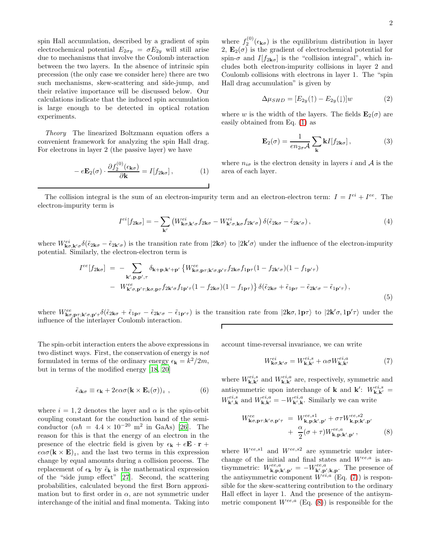spin Hall accumulation, described by a gradient of spin electrochemical potential  $E_{2\sigma y} = \sigma E_{2y}$  will still arise due to mechanisms that involve the Coulomb interaction between the two layers. In the absence of intrinsic spin precession (the only case we consider here) there are two such mechanisms, skew-scattering and side-jump, and their relative importance will be discussed below. Our calculations indicate that the induced spin accumulation is large enough to be detected in optical rotation experiments.

Theory The linearized Boltzmann equation offers a convenient framework for analyzing the spin Hall drag. For electrons in layer 2 (the passive layer) we have

<span id="page-1-0"></span>
$$
-e\mathbf{E}_2(\sigma) \cdot \frac{\partial f_2^{(0)}(\epsilon_{\mathbf{k}\sigma})}{\partial \mathbf{k}} = I[f_{2\mathbf{k}\sigma}], \qquad (1)
$$

where  $f_2^{(0)}(\epsilon_{\mathbf{k}\sigma})$  is the equilibrium distribution in layer 2,  $\mathbf{E}_2(\sigma)$  is the gradient of electrochemical potential for spin- $\sigma$  and  $I[f_{2\mathbf{k}\sigma}]$  is the "collision integral", which includes both electron-impurity collisions in layer 2 and Coulomb collisions with electrons in layer 1. The "spin Hall drag accumulation" is given by

$$
\Delta \mu_{SHD} = [E_{2y}(\uparrow) - E_{2y}(\downarrow)]w \tag{2}
$$

where w is the width of the layers. The fields  $\mathbf{E}_2(\sigma)$  are easily obtained from Eq. [\(1\)](#page-1-0) as

$$
\mathbf{E}_2(\sigma) = \frac{1}{en_{2\sigma}\mathcal{A}} \sum_{\mathbf{k}} \mathbf{k} I[f_{2\mathbf{k}\sigma}], \tag{3}
$$

where  $n_{i\sigma}$  is the electron density in layers i and A is the area of each layer.

The collision integral is the sum of an electron-impurity term and an electron-electron term:  $I = I^{ei} + I^{ee}$ . The electron-impurity term is

<span id="page-1-3"></span>
$$
I^{ei}[f_{2\mathbf{k}\sigma}] = -\sum_{\mathbf{k}'} \left( W^{ei}_{\mathbf{k}\sigma,\mathbf{k}'\sigma} f_{2\mathbf{k}\sigma} - W^{ei}_{\mathbf{k}'\sigma,\mathbf{k}\sigma} f_{2\mathbf{k}'\sigma} \right) \delta(\tilde{\epsilon}_{2\mathbf{k}\sigma} - \tilde{\epsilon}_{2\mathbf{k}'\sigma}), \tag{4}
$$

where  $W^{ei}_{\mathbf{k}\sigma,\mathbf{k}'\sigma}\delta(\tilde{\epsilon}_{2\mathbf{k}\sigma}-\tilde{\epsilon}_{2\mathbf{k}'\sigma})$  is the transition rate from  $|2\mathbf{k}\sigma\rangle$  to  $|2\mathbf{k}'\sigma\rangle$  under the influence of the electron-impurity potential. Similarly, the electron-electron term is

<span id="page-1-4"></span>
$$
I^{ee}[f_{2\mathbf{k}\sigma}] = -\sum_{\mathbf{k}',\mathbf{p},\mathbf{p}',\tau} \delta_{\mathbf{k}+\mathbf{p},\mathbf{k}'+\mathbf{p}'} \left\{ W^{ee}_{\mathbf{k}\sigma,\mathbf{p}\tau;\mathbf{k}'\sigma,\mathbf{p}'\tau} f_{2\mathbf{k}\sigma} f_{1\mathbf{p}\tau} (1 - f_{2\mathbf{k}'\sigma}) (1 - f_{1\mathbf{p}'\tau}) \right.- W^{ee}_{\mathbf{k}'\sigma,\mathbf{p}'\tau;\mathbf{k}\sigma,\mathbf{p}\tau} f_{2\mathbf{k}'\sigma} f_{1\mathbf{p}'\tau} (1 - f_{2\mathbf{k}\sigma}) (1 - f_{1\mathbf{p}\tau}) \right\} \delta(\tilde{\epsilon}_{2\mathbf{k}\sigma} + \tilde{\epsilon}_{1\mathbf{p}\tau} - \tilde{\epsilon}_{2\mathbf{k}'\sigma} - \tilde{\epsilon}_{1\mathbf{p}'\tau}),
$$
\n(5)

where  $W_{\mathbf{k}\sigma,\mathbf{p}\tau;\mathbf{k}'\sigma,\mathbf{p}'\tau}^{\text{ee}}\delta(\tilde{\epsilon}_{2\mathbf{k}\sigma}+\tilde{\epsilon}_{1\mathbf{p}\tau}-\tilde{\epsilon}_{2\mathbf{k}'\sigma}-\tilde{\epsilon}_{1\mathbf{p}'\tau})$  is the transition rate from  $|2\mathbf{k}\sigma,1\mathbf{p}\tau\rangle$  to  $|2\mathbf{k}'\sigma,1\mathbf{p}'\tau\rangle$  under the influence of the interlayer Coulomb interaction. Г

The spin-orbit interaction enters the above expressions in two distinct ways. First, the conservation of energy is not formulated in terms of the ordinary energy  $\epsilon_{\mathbf{k}} = k^2/2m$ , but in terms of the modified energy [\[18](#page-3-7), [20\]](#page-3-9)

$$
\tilde{\epsilon}_{i\mathbf{k}\sigma} \equiv \epsilon_{\mathbf{k}} + 2e\alpha\sigma(\mathbf{k} \times \mathbf{E}_i(\sigma))_z , \qquad (6)
$$

where  $i = 1, 2$  denotes the layer and  $\alpha$  is the spin-orbit coupling constant for the conduction band of the semiconductor  $(\alpha \hbar = 4.4 \times 10^{-20} \text{ m}^2 \text{ in GaAs})$  [\[26\]](#page-3-10). The reason for this is that the energy of an electron in the presence of the electric field is given by  $\epsilon_{\mathbf{k}} + e\mathbf{E} \cdot \mathbf{r} +$  $e\alpha\sigma(\mathbf{k}\times\mathbf{E})_z$ , and the last two terms in this expression change by equal amounts during a collision process. The replacement of  $\epsilon_{\mathbf{k}}$  by  $\tilde{\epsilon}_{\mathbf{k}}$  is the mathematical expression of the "side jump effect" [\[27\]](#page-3-11). Second, the scattering probabilities, calculated beyond the first Born approximation but to first order in  $\alpha$ , are not symmetric under interchange of the initial and final momenta. Taking into

account time-reversal invariance, we can write

<span id="page-1-1"></span>
$$
W_{\mathbf{k}\sigma,\mathbf{k}'\sigma}^{ei} = W_{\mathbf{k},\mathbf{k}'}^{ei,s} + \alpha \sigma W_{\mathbf{k},\mathbf{k}'}^{ei,a}
$$
 (7)

where  $W_{\mathbf{k},\mathbf{k'}}^{ei,s}$  and  $W_{\mathbf{k},\mathbf{k'}}^{ei,a}$  are, respectively, symmetric and antisymmetric upon interchange of **k** and **k**':  $W_{\mathbf{k},\mathbf{k'}}^{ei,s}$  =  $W_{\mathbf{k}',\mathbf{k}}^{ei,s}$  and  $W_{\mathbf{k},\mathbf{k}'}^{ei,a} = -W_{\mathbf{k}',\mathbf{k}}^{ei,a}$ . Similarly we can write

<span id="page-1-2"></span>
$$
W_{\mathbf{k}\sigma,\mathbf{p}\tau;\mathbf{k}'\sigma,\mathbf{p}'\tau}^{ee} = W_{\mathbf{k},\mathbf{p};\mathbf{k}',\mathbf{p}'}^{ee,s1} + \sigma \tau W_{\mathbf{k},\mathbf{p};\mathbf{k}',\mathbf{p}'}^{ee,s2} + \frac{\alpha}{2} (\sigma + \tau) W_{\mathbf{k},\mathbf{p};\mathbf{k}',\mathbf{p}'}^{ee,a}, \tag{8}
$$

where  $W^{ee,s1}$  and  $W^{ee,s2}$  are symmetric under interchange of the initial and final states and  $W^{ee,a}$  is antisymmetric:  $W^{ee,a}_{\mathbf{k},\mathbf{p};\mathbf{k}',\mathbf{p}'} = -W^{ee,a}_{\mathbf{k}',\mathbf{p}';\mathbf{k},\mathbf{p}}$ . The presence of the antisymmetric component  $W^{ei,a}$  (Eq. [\(7\)](#page-1-1)) is responsible for the skew-scattering contribution to the ordinary Hall effect in layer 1. And the presence of the antisymmetric component  $W^{ee,a}$  (Eq. [\(8\)](#page-1-2)) is responsible for the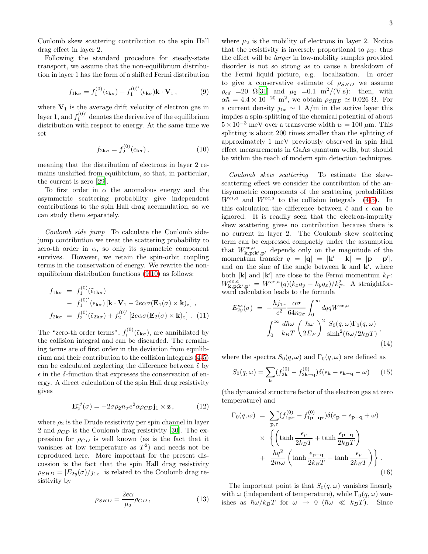Coulomb skew scattering contribution to the spin Hall drag effect in layer 2.

Following the standard procedure for steady-state transport, we assume that the non-equilibrium distribution in layer 1 has the form of a shifted Fermi distribution

<span id="page-2-0"></span>
$$
f_{1\mathbf{k}\sigma} = f_1^{(0)}(\epsilon_{\mathbf{k}\sigma}) - f_1^{(0)'}(\epsilon_{\mathbf{k}\sigma})\mathbf{k}\cdot\mathbf{V}_1, \qquad (9)
$$

where  $V_1$  is the average drift velocity of electron gas in layer 1, and  $f_1^{(0)'}$  denotes the derivative of the equilibrium distribution with respect to energy. At the same time we set

<span id="page-2-1"></span>
$$
f_{2\mathbf{k}\sigma} = f_2^{(0)}(\epsilon_{\mathbf{k}\sigma}), \qquad (10)
$$

meaning that the distribution of electrons in layer 2 remains unshifted from equilibrium, so that, in particular, the current is zero [\[29\]](#page-4-0).

To first order in  $\alpha$  the anomalous energy and the asymmetric scattering probability give independent contributions to the spin Hall drag accumulation, so we can study them separately.

Coulomb side jump To calculate the Coulomb sidejump contribution we treat the scattering probability to zero-th order in  $\alpha$ , so only its symmetric component survives. However, we retain the spin-orbit coupling terms in the conservation of energy. We rewrite the nonequilibrium distribution functions [\(9,](#page-2-0)[10\)](#page-2-1) as follows:

$$
f_{1\mathbf{k}\sigma} = f_1^{(0)}(\tilde{\epsilon}_{1\mathbf{k}\sigma})
$$
  
-  $f_1^{(0)'}(\epsilon_{\mathbf{k}\sigma}) [\mathbf{k} \cdot \mathbf{V}_1 - 2e\alpha\sigma(\mathbf{E}_1(\sigma) \times \mathbf{k})_z],$   

$$
f_{2\mathbf{k}\sigma} = f_2^{(0)}(\tilde{\epsilon}_{2\mathbf{k}\sigma}) + f_2^{(0)'} [2e\alpha\sigma(\mathbf{E}_2(\sigma) \times \mathbf{k})_z].
$$
 (11)

The "zero-th order terms",  $f_i^{(0)}(\tilde{\epsilon}_{\mathbf{k}\sigma})$ , are annihilated by the collision integral and can be discarded. The remaining terms are of first order in the deviation from equilibrium and their contribution to the collision integrals [\(4](#page-1-3)[-5\)](#page-1-4) can be calculated neglecting the difference between  $\tilde{\epsilon}$  by  $\epsilon$  in the  $\delta$ -function that expresses the conservation of energy. A direct calculation of the spin Hall drag resistivity gives

<span id="page-2-3"></span>
$$
\mathbf{E}_2^{sj}(\sigma) = -2\sigma \rho_2 n_\sigma e^2 \alpha \rho_{CD} \mathbf{j}_1 \times \mathbf{z},\qquad(12)
$$

where  $\rho_2$  is the Drude resistivity per spin channel in layer 2 and  $\rho_{CD}$  is the Coulomb drag resistivity [\[30](#page-4-1)]. The expression for  $\rho_{CD}$  is well known (as is the fact that it vanishes at low temperature as  $T^2$  and needs not be reproduced here. More important for the present discussion is the fact that the spin Hall drag resistivity  $\rho_{SHD} = |E_{2y}(\sigma)/j_{1x}|$  is related to the Coulomb drag resistivity by

$$
\rho_{SHD} = \frac{2e\alpha}{\mu_2} \rho_{CD},\qquad(13)
$$

where  $\mu_2$  is the mobility of electrons in layer 2. Notice that the resistivity is inversely proportional to  $\mu_2$ : thus the effect will be larger in low-mobility samples provided disorder is not so strong as to cause a breakdown of the Fermi liquid picture, e.g. localization. In order to give a conservative estimate of  $\rho_{SHD}$  we assume  $\rho_{cd}$  =20  $\Omega[31]$  $\Omega[31]$  and  $\mu_2$  =0.1 m<sup>2</sup>/(V.s): then, with  $\alpha\hbar = 4.4 \times 10^{-20}$  m<sup>2</sup>, we obtain  $\rho_{SHD} \simeq 0.026$   $\Omega$ . For a current density  $j_{1x} \sim 1$  A/m in the active layer this implies a spin-splitting of the chemical potential of about  $5 \times 10^{-3}$  meV over a transverse width  $w = 100 \ \mu \text{m}$ . This splitting is about 200 times smaller than the splitting of approximately 1 meV previously observed in spin Hall effect measurements in GaAs quantum wells, but should be within the reach of modern spin detection techniques.

Coulomb skew scattering To estimate the skewscattering effect we consider the contribution of the antisymmetric components of the scattering probabilities  $W^{ei,a}$  and  $W^{ee,a}$  to the collision integrals [\(4](#page-1-3)[-5\)](#page-1-4). In this calculation the difference between  $\tilde{\epsilon}$  and  $\epsilon$  can be ignored. It is readily seen that the electron-impurity skew scattering gives no contribution because there is no current in layer 2. The Coulomb skew scattering term can be expressed compactly under the assumption that  $W^{ee,a}_{\mathbf{k},\mathbf{p};\mathbf{k}',\mathbf{p}'}$  depends only on the magnitude of the momentum transfer  $q = |\mathbf{q}| = |\mathbf{k}' - \mathbf{k}| = |\mathbf{p} - \mathbf{p}'|$ , and on the sine of the angle between  $\bf{k}$  and  $\bf{k}'$ , where both  $|\mathbf{k}|$  and  $|\mathbf{k}'|$  are close to the Fermi momentum  $k_F$ :  $W^{ee,a}_{\mathbf{k},\mathbf{p};\mathbf{k}',\mathbf{p}'} = W^{ee,a}(q)(k_xq_y - k_yq_x)/k_F^2$ . A straightforward calculation leads to the formula

<span id="page-2-2"></span>
$$
E_{2y}^{ss}(\sigma) = -\frac{\hbar j_{1x}}{e^2} \frac{\alpha \sigma}{64 n_{2\sigma}} \int_0^\infty dq q W^{ee,a}
$$

$$
\int_0^\infty \frac{d\hbar \omega}{k_B T} \left(\frac{\hbar \omega}{2E_F}\right)^2 \frac{S_0(q, \omega) \Gamma_0(q, \omega)}{\sinh^2(\hbar \omega/2k_B T)}, \tag{14}
$$

where the spectra  $S_0(q,\omega)$  and  $\Gamma_0(q,\omega)$  are defined as

$$
S_0(q,\omega) = \sum_{\mathbf{k}} (f_{2\mathbf{k}}^{(0)} - f_{2\mathbf{k}+\mathbf{q}}^{(0)}) \delta(\epsilon_{\mathbf{k}} - \epsilon_{\mathbf{k}-\mathbf{q}} - \omega) \qquad (15)
$$

(the dynamical structure factor of the electron gas at zero temperature) and

$$
\Gamma_0(q,\omega) = \sum_{\mathbf{p},\tau} (f_{1\mathbf{p}\tau}^{(0)} - f_{1\mathbf{p}-\mathbf{q}\tau}^{(0)}) \delta(\epsilon_{\mathbf{p}} - \epsilon_{\mathbf{p}-\mathbf{q}} + \omega)
$$
  
 
$$
\times \left\{ \left( \tanh \frac{\epsilon_p}{2k_BT} + \tanh \frac{\epsilon_{\mathbf{p}-\mathbf{q}}}{2k_BT} \right) + \frac{\hbar q^2}{2m\omega} \left( \tanh \frac{\epsilon_{\mathbf{p}-\mathbf{q}}}{2k_BT} - \tanh \frac{\epsilon_p}{2k_BT} \right) \right\}.
$$
 (16)

The important point is that  $S_0(q,\omega)$  vanishes linearly with  $\omega$  (independent of temperature), while  $\Gamma_0(q,\omega)$  vanishes as  $\hbar\omega/k_BT$  for  $\omega \to 0$  ( $\hbar\omega \ll k_BT$ ). Since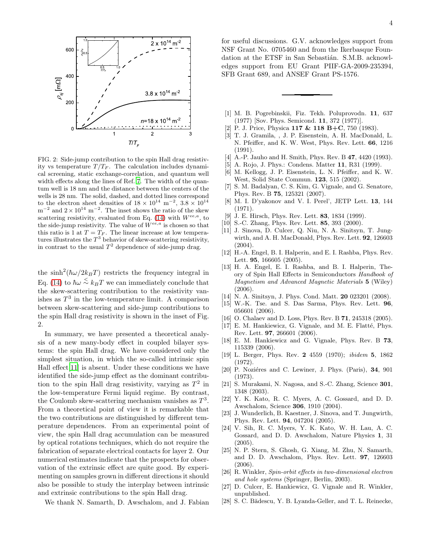

FIG. 2: Side-jump contribution to the spin Hall drag resistivity vs temperature  $T/T_F$ . The calculation includes dynamical screening, static exchange-correlation, and quantum well width effects along the lines of Ref. [7](#page-3-3). The width of the quantum well is 18 nm and the distance between the centers of the wells is 28 nm. The solid, dashed, and dotted lines correspond to the electron sheet densities of  $18 \times 10^{14}$  m<sup>-2</sup>,  $3.8 \times 10^{14}$  $m^{-2}$  and  $2 \times 10^{14}$  m<sup>-2</sup>. The inset shows the ratio of the skew scattering resistivity, evaluated from Eq. [\(14\)](#page-2-2) with  $W^{ee,a}$ , to the side-jump resistivity. The value of  $W^{ee,a}$  is chosen so that this ratio is 1 at  $T = T_F$ . The linear increase at low temperatures illustrates the  $T^3$  behavior of skew-scattering resistivity, in contrast to the usual  $T^2$  dependence of side-jump drag.

the  $\sinh^2(\hbar\omega/2k_BT)$  restricts the frequency integral in Eq. [\(14\)](#page-2-2) to  $\hbar\omega \stackrel{\textstyle <}{\sim} k_BT$  we can immediately conclude that the skew-scattering contribution to the resistivity vanishes as  $T^3$  in the low-temperature limit. A comparison between skew-scattering and side-jump contributions to the spin Hall drag resistivity is shown in the inset of Fig. 2.

In summary, we have presented a theoretical analysis of a new many-body effect in coupled bilayer systems: the spin Hall drag. We have considered only the simplest situation, in which the so-called intrinsic spin Hall effect[\[11\]](#page-3-12) is absent. Under these conditions we have identified the side-jump effect as the dominant contribution to the spin Hall drag resistivity, varying as  $T^2$  in the low-temperature Fermi liquid regime. By contrast, the Coulomb skew-scattering mechanism vanishes as  $T^3$ . From a theoretical point of view it is remarkable that the two contributions are distinguished by different temperature dependences. From an experimental point of view, the spin Hall drag accumulation can be measured by optical rotations techniques, which do not require the fabrication of separate electrical contacts for layer 2. Our numerical estimates indicate that the prospects for observation of the extrinsic effect are quite good. By experimenting on samples grown in different directions it should also be possible to study the interplay between intrinsic and extrinsic contributions to the spin Hall drag.

We thank N. Samarth, D. Awschalom, and J. Fabian

for useful discussions. G.V. acknowledges support from NSF Grant No. 0705460 and from the Ikerbasque Foundation at the ETSF in San Sebastián. S.M.B. acknowledges support from EU Grant PIIF-GA-2009-235394, SFB Grant 689, and ANSEF Grant PS-1576.

- <span id="page-3-0"></span>[1] M. B. Pogrebinskii, Fiz. Tekh. Poluprovodn. 11, 637 (1977) [Sov. Phys. Semicond. 11, 372 (1977)].
- [2] P. J. Price, Physica 117 & 118 B+C, 750 (1983).
- [3] T. J. Gramila, , J. P. Eisenstein, A. H. MacDonald, L. N. Pfeiffer, and K. W. West, Phys. Rev. Lett. 66, 1216 (1991).
- [4] A.-P. Jauho and H. Smith, Phys. Rev. B **47**, 4420 (1993).
- <span id="page-3-1"></span>[5] A. Rojo, J. Phys.: Condens. Matter 11, R31 (1999).
- <span id="page-3-2"></span>[6] M. Kellogg, J. P. Eisenstein, L. N. Pfeiffer, and K. W. West, Solid State Commun. 123, 515 (2002).
- <span id="page-3-3"></span>[7] S. M. Badalyan, C. S. Kim, G. Vignale, and G. Senatore, Phys. Rev. B 75, 125321 (2007).
- <span id="page-3-4"></span>[8] M. I. D'yakonov and V. I. Perel', JETP Lett. 13, 144 (1971).
- [9] J. E. Hirsch, Phys. Rev. Lett. 83, 1834 (1999).
- [10] S.-C. Zhang, Phys. Rev. Lett. **85**, 393 (2000).
- <span id="page-3-12"></span>[11] J. Sinova, D. Culcer, Q. Niu, N. A. Sinitsyn, T. Jungwirth, and A. H. MacDonald, Phys. Rev. Lett. 92, 126603 (2004).
- [12] H.-A. Engel, B. I. Halperin, and E. I. Rashba, Phys. Rev. Lett. **95**, 166605 (2005).
- [13] H. A. Engel, E. I. Rashba, and B. I. Halperin, Theory of Spin Hall Effects in Semiconductors Handbook of Magnetism and Advanced Magnetic Materials 5 (Wiley) (2006).
- [14] N. A. Sinitsyn, J. Phys. Cond. Matt. **20** 023201 (2008).
- <span id="page-3-6"></span>[15] W.-K. Tse. and S. Das Sarma, Phys. Rev. Lett. 96, 056601 (2006).
- [16] O. Chalaev and D. Loss, Phys. Rev. B **71**, 245318 (2005).
- [17] E. M. Hankiewicz, G. Vignale, and M. E. Flatté, Phys. Rev. Lett. 97, 266601 (2006).
- <span id="page-3-7"></span>[18] E. M. Hankiewicz and G. Vignale, Phys. Rev. B 73, 115339 (2006).
- [19] L. Berger, Phys. Rev. 2 4559 (1970); ibidem 5, 1862 (1972).
- <span id="page-3-9"></span>[20] P. Noziéres and C. Lewiner, J. Phys. (Paris),  $34$ ,  $901$ (1973).
- [21] S. Murakami, N. Nagosa, and S.-C. Zhang, Science 301, 1348 (2003).
- [22] Y. K. Kato, R. C. Myers, A. C. Gossard, and D. D. Awschalom, Science 306, 1910 (2004).
- [23] J. Wunderlich, B. Kaestner, J. Sinova, and T. Jungwirth, Phys. Rev. Lett. 94, 047204 (2005).
- <span id="page-3-8"></span>[24] V. Sih, R. C. Myers, Y. K. Kato, W. H. Lau, A. C. Gossard, and D. D. Awschalom, Nature Physics 1, 31 (2005).
- <span id="page-3-5"></span>[25] N. P. Stern, S. Ghosh, G. Xiang, M. Zhu, N. Samarth, and D. D. Awschalom, Phys. Rev. Lett. 97, 126603 (2006).
- <span id="page-3-10"></span>[26] R. Winkler, Spin-orbit effects in two-dimensional electron and hole systems (Springer, Berlin, 2003).
- <span id="page-3-11"></span>[27] D. Culcer, E. Hankiewicz, G. Vignale and R. Winkler, unpublished.
- [28] S. C. Bădescu, Y. B. Lyanda-Geller, and T. L. Reinecke,